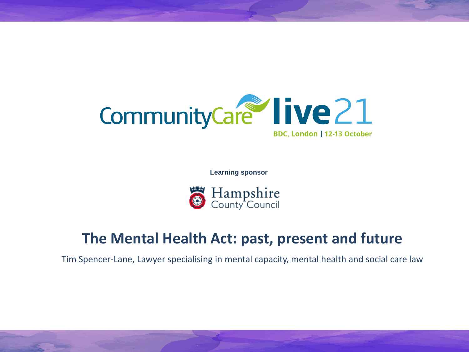

**Learning sponsor**



#### **The Mental Health Act: past, present and future**

Tim Spencer-Lane, Lawyer specialising in mental capacity, mental health and social care law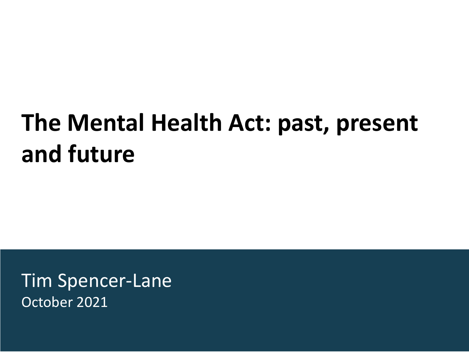### **The Mental Health Act: past, present and future**

Tim Spencer-Lane October 2021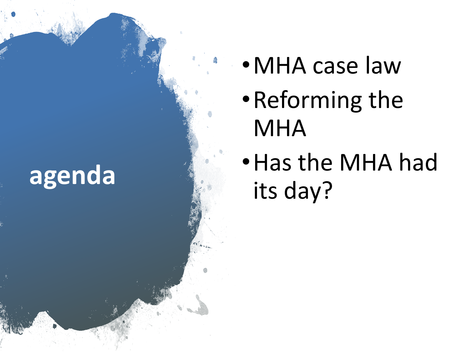# **agenda**

- •MHA case law
- •Reforming the MHA
- •Has the MHA had its day?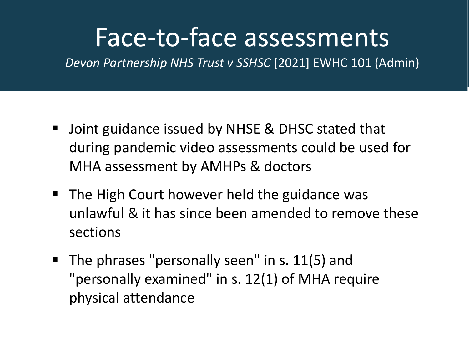#### Face-to-face assessments

*Devon Partnership NHS Trust v SSHSC* [2021] EWHC 101 (Admin)

- Joint guidance issued by NHSE & DHSC stated that during pandemic video assessments could be used for MHA assessment by AMHPs & doctors
- The High Court however held the guidance was unlawful & it has since been amended to remove these sections
- The phrases "personally seen" in s. 11(5) and "personally examined" in s. 12(1) of MHA require physical attendance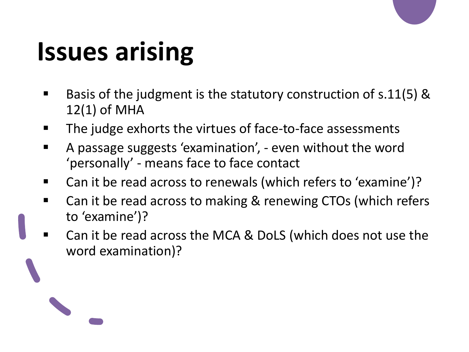# **Issues arising**

- Basis of the judgment is the statutory construction of  $s.11(5)$  & 12(1) of MHA
- The judge exhorts the virtues of face-to-face assessments
- A passage suggests 'examination', even without the word 'personally' - means face to face contact
- Can it be read across to renewals (which refers to 'examine')?
- Can it be read across to making & renewing CTOs (which refers to 'examine')?
- Can it be read across the MCA & DoLS (which does not use the word examination)?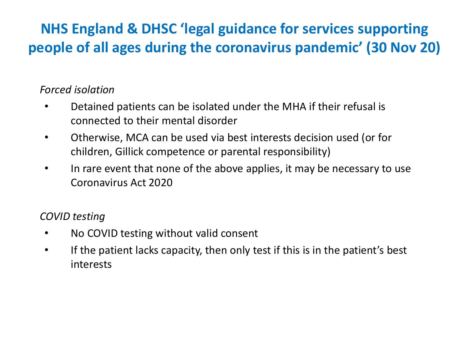#### **NHS England & DHSC 'legal guidance for services supporting people of all ages during the coronavirus pandemic' (30 Nov 20)**

#### *Forced isolation*

- Detained patients can be isolated under the MHA if their refusal is connected to their mental disorder
- Otherwise, MCA can be used via best interests decision used (or for children, Gillick competence or parental responsibility)
- In rare event that none of the above applies, it may be necessary to use Coronavirus Act 2020

#### *COVID testing*

- No COVID testing without valid consent
- If the patient lacks capacity, then only test if this is in the patient's best interests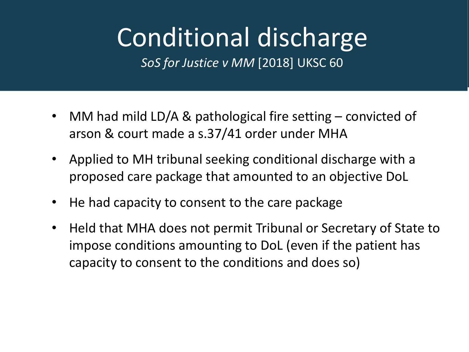# Conditional discharge

*SoS for Justice v MM* [2018] UKSC 60

- MM had mild LD/A & pathological fire setting convicted of arson & court made a s.37/41 order under MHA
- Applied to MH tribunal seeking conditional discharge with a proposed care package that amounted to an objective DoL
- He had capacity to consent to the care package
- Held that MHA does not permit Tribunal or Secretary of State to impose conditions amounting to DoL (even if the patient has capacity to consent to the conditions and does so)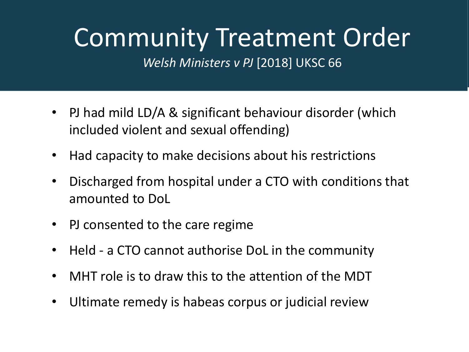## Community Treatment Order

*Welsh Ministers v PJ* [2018] UKSC 66

- PJ had mild LD/A & significant behaviour disorder (which included violent and sexual offending)
- Had capacity to make decisions about his restrictions
- Discharged from hospital under a CTO with conditions that amounted to DoL
- PJ consented to the care regime
- Held a CTO cannot authorise DoL in the community
- MHT role is to draw this to the attention of the MDT
- Ultimate remedy is habeas corpus or judicial review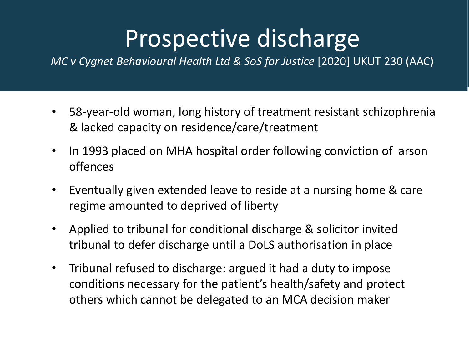#### Prospective discharge

*MC v Cygnet Behavioural Health Ltd & SoS for Justice* [2020] UKUT 230 (AAC)

- 58-year-old woman, long history of treatment resistant schizophrenia & lacked capacity on residence/care/treatment
- In 1993 placed on MHA hospital order following conviction of arson offences
- Eventually given extended leave to reside at a nursing home & care regime amounted to deprived of liberty
- Applied to tribunal for conditional discharge & solicitor invited tribunal to defer discharge until a DoLS authorisation in place
- Tribunal refused to discharge: argued it had a duty to impose conditions necessary for the patient's health/safety and protect others which cannot be delegated to an MCA decision maker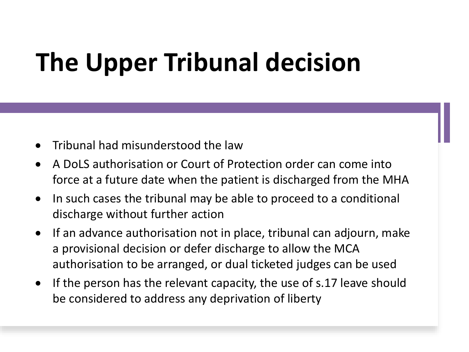# **The Upper Tribunal decision**

- Tribunal had misunderstood the law
- A DoLS authorisation or Court of Protection order can come into force at a future date when the patient is discharged from the MHA
- In such cases the tribunal may be able to proceed to a conditional discharge without further action
- If an advance authorisation not in place, tribunal can adjourn, make a provisional decision or defer discharge to allow the MCA authorisation to be arranged, or dual ticketed judges can be used
- If the person has the relevant capacity, the use of s.17 leave should be considered to address any deprivation of liberty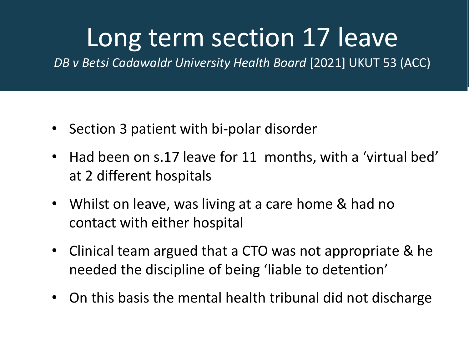### Long term section 17 leave

*DB v Betsi Cadawaldr University Health Board* [2021] UKUT 53 (ACC)

- Section 3 patient with bi-polar disorder
- Had been on s.17 leave for 11 months, with a 'virtual bed' at 2 different hospitals
- Whilst on leave, was living at a care home & had no contact with either hospital
- Clinical team argued that a CTO was not appropriate & he needed the discipline of being 'liable to detention'
- On this basis the mental health tribunal did not discharge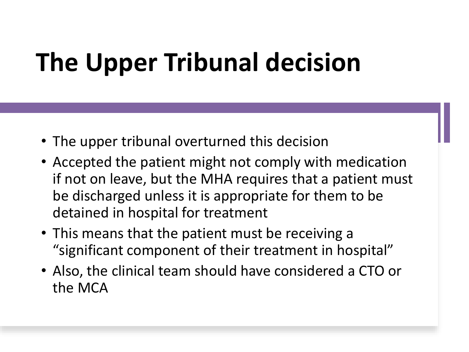# **The Upper Tribunal decision**

- The upper tribunal overturned this decision
- Accepted the patient might not comply with medication if not on leave, but the MHA requires that a patient must be discharged unless it is appropriate for them to be detained in hospital for treatment
- This means that the patient must be receiving a "significant component of their treatment in hospital"
- Also, the clinical team should have considered a CTO or the MCA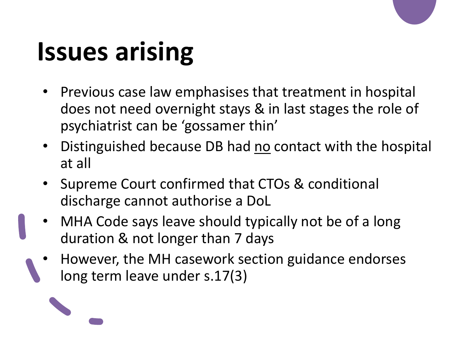# **Issues arising**

- Previous case law emphasises that treatment in hospital does not need overnight stays & in last stages the role of psychiatrist can be 'gossamer thin'
- Distinguished because DB had no contact with the hospital at all
- Supreme Court confirmed that CTOs & conditional discharge cannot authorise a DoL
- MHA Code says leave should typically not be of a long duration & not longer than 7 days
- However, the MH casework section guidance endorses long term leave under s.17(3)

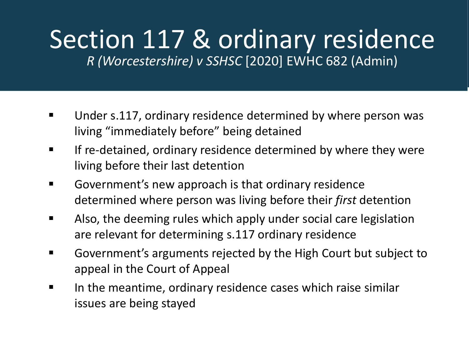#### Section 117 & ordinary residence *R (Worcestershire) v SSHSC* [2020] EWHC 682 (Admin)

- Under s.117, ordinary residence determined by where person was living "immediately before" being detained
- **EXED If re-detained, ordinary residence determined by where they were** living before their last detention
- Government's new approach is that ordinary residence determined where person was living before their *first* detention
- Also, the deeming rules which apply under social care legislation are relevant for determining s.117 ordinary residence
- Government's arguments rejected by the High Court but subject to appeal in the Court of Appeal
- In the meantime, ordinary residence cases which raise similar issues are being stayed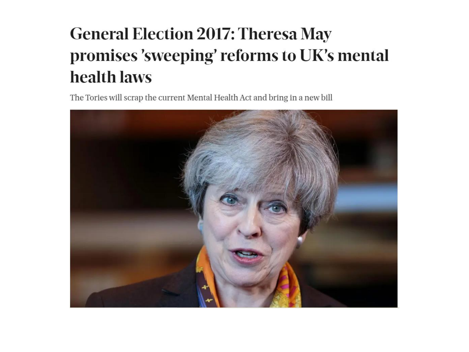#### **General Election 2017: Theresa May** promises 'sweeping' reforms to UK's mental health laws

The Tories will scrap the current Mental Health Act and bring in a new bill

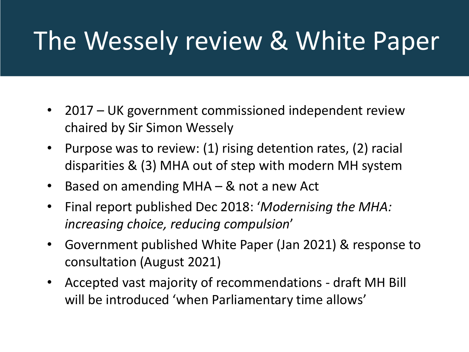## The Wessely review & White Paper

- 2017 UK government commissioned independent review chaired by Sir Simon Wessely
- Purpose was to review: (1) rising detention rates, (2) racial disparities & (3) MHA out of step with modern MH system
- Based on amending MHA & not a new Act
- Final report published Dec 2018: '*Modernising the MHA: increasing choice, reducing compulsion*'
- Government published White Paper (Jan 2021) & response to consultation (August 2021)
- Accepted vast majority of recommendations draft MH Bill will be introduced 'when Parliamentary time allows'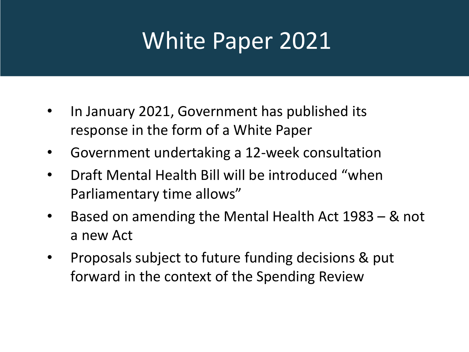#### **White Paper 2021**

- In January 2021, Government has published its response in the form of a White Paper
- Government undertaking a 12-week consultation
- Draft Mental Health Bill will be introduced "when Parliamentary time allows"
- Based on amending the Mental Health Act 1983 & not a new Act
- Proposals subject to future funding decisions & put forward in the context of the Spending Review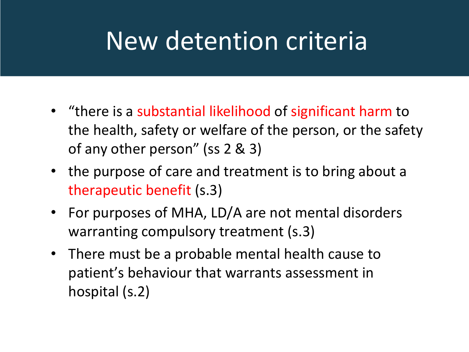## New detention criteria

- "there is a substantial likelihood of significant harm to the health, safety or welfare of the person, or the safety of any other person" (ss 2 & 3)
- the purpose of care and treatment is to bring about a therapeutic benefit (s.3)
- For purposes of MHA, LD/A are not mental disorders warranting compulsory treatment (s.3)
- There must be a probable mental health cause to patient's behaviour that warrants assessment in hospital (s.2)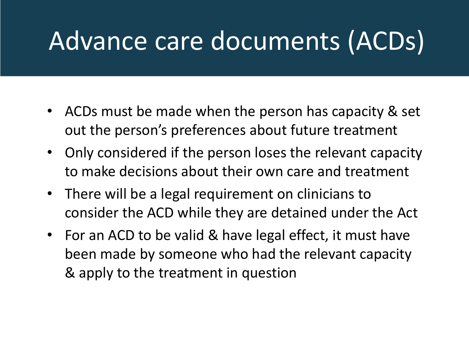## Advance care documents (ACDs)

- ACDs must be made when the person has capacity & set out the person's preferences about future treatment
- Only considered if the person loses the relevant capacity to make decisions about their own care and treatment
- There will be a legal requirement on clinicians to consider the ACD while they are detained under the Act
- For an ACD to be valid & have legal effect, it must have been made by someone who had the relevant capacity & apply to the treatment in question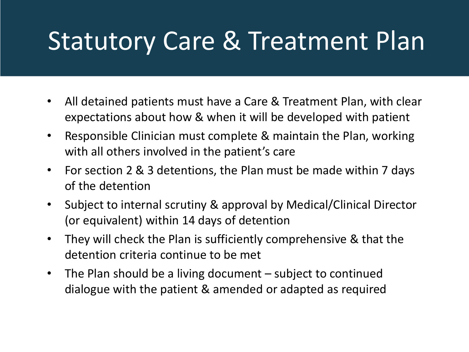### Statutory Care & Treatment Plan

- All detained patients must have a Care & Treatment Plan, with clear expectations about how & when it will be developed with patient
- Responsible Clinician must complete & maintain the Plan, working with all others involved in the patient's care
- For section 2 & 3 detentions, the Plan must be made within 7 days of the detention
- Subject to internal scrutiny & approval by Medical/Clinical Director (or equivalent) within 14 days of detention
- They will check the Plan is sufficiently comprehensive & that the detention criteria continue to be met
- The Plan should be a living document subject to continued dialogue with the patient & amended or adapted as required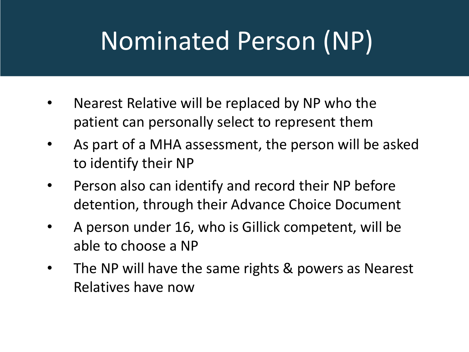# Nominated Person (NP)

- Nearest Relative will be replaced by NP who the patient can personally select to represent them
- As part of a MHA assessment, the person will be asked to identify their NP
- Person also can identify and record their NP before detention, through their Advance Choice Document
- A person under 16, who is Gillick competent, will be able to choose a NP
- The NP will have the same rights & powers as Nearest Relatives have now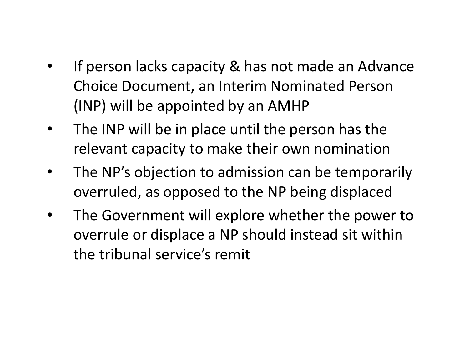- Adverse possession • If person lacks capacity & has not made an Advance Choice Document, an Interim Nominated Person (INP) will be appointed by an AMHP
	- The INP will be in place until the person has the relevant capacity to make their own nomination
	- The NP's objection to admission can be temporarily overruled, as opposed to the NP being displaced
	- The Government will explore whether the power to overrule or displace a NP should instead sit within the tribunal service's remit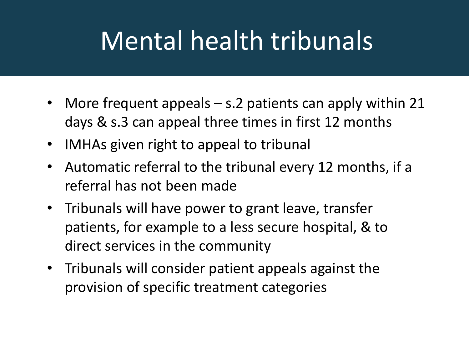## Mental health tribunals

- More frequent appeals s.2 patients can apply within 21 days & s.3 can appeal three times in first 12 months
- IMHAs given right to appeal to tribunal
- Automatic referral to the tribunal every 12 months, if a referral has not been made
- Tribunals will have power to grant leave, transfer patients, for example to a less secure hospital, & to direct services in the community
- Tribunals will consider patient appeals against the provision of specific treatment categories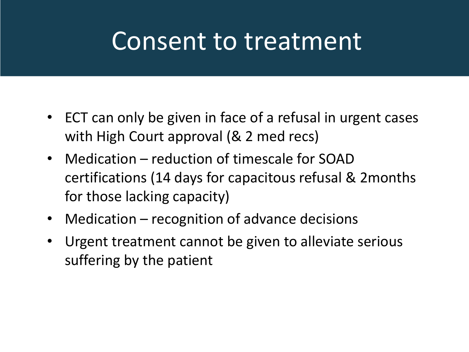#### Consent to treatment

- ECT can only be given in face of a refusal in urgent cases with High Court approval (& 2 med recs)
- Medication reduction of timescale for SOAD certifications (14 days for capacitous refusal & 2months for those lacking capacity)
- Medication recognition of advance decisions
- Urgent treatment cannot be given to alleviate serious suffering by the patient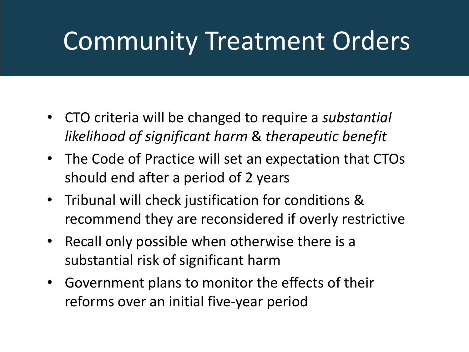## Community Treatment Orders

- CTO criteria will be changed to require a *substantial likelihood of significant harm* & *therapeutic benefit*
- The Code of Practice will set an expectation that CTOs should end after a period of 2 years
- Tribunal will check justification for conditions & recommend they are reconsidered if overly restrictive
- Recall only possible when otherwise there is a substantial risk of significant harm
- Government plans to monitor the effects of their reforms over an initial five-year period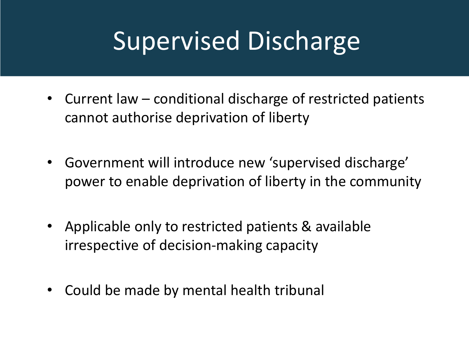### **Supervised Discharge**

- Current law conditional discharge of restricted patients cannot authorise deprivation of liberty
- Government will introduce new 'supervised discharge' power to enable deprivation of liberty in the community
- Applicable only to restricted patients & available irrespective of decision-making capacity
- Could be made by mental health tribunal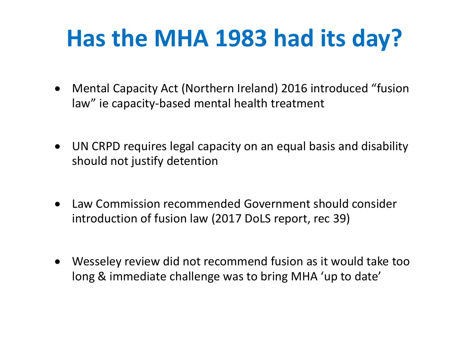#### **Has the MHA 1983 had its day?**

- Mental Capacity Act (Northern Ireland) 2016 introduced "fusion law" ie capacity-based mental health treatment
- UN CRPD requires legal capacity on an equal basis and disability should not justify detention
- Law Commission recommended Government should consider introduction of fusion law (2017 DoLS report, rec 39)
- Wesseley review did not recommend fusion as it would take too long & immediate challenge was to bring MHA 'up to date'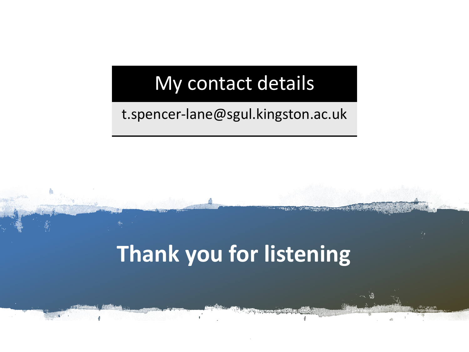#### My contact details

#### t.spencer-lane@sgul.kingston.ac.uk

#### **Thank you for listening**